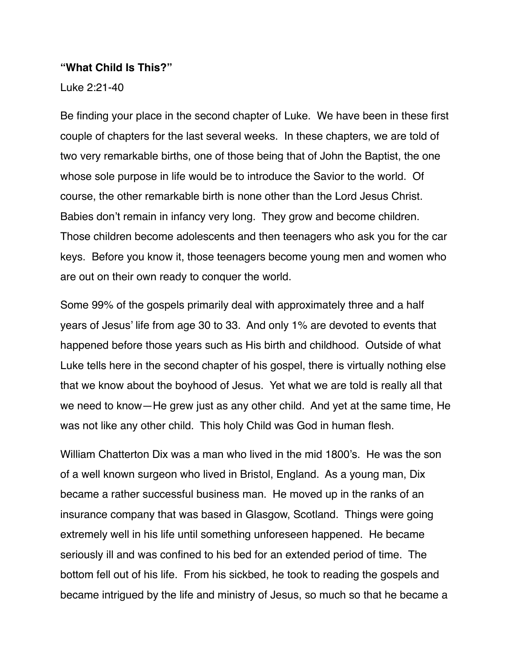#### **"What Child Is This?"**

Luke 2:21-40

Be finding your place in the second chapter of Luke. We have been in these first couple of chapters for the last several weeks. In these chapters, we are told of two very remarkable births, one of those being that of John the Baptist, the one whose sole purpose in life would be to introduce the Savior to the world. Of course, the other remarkable birth is none other than the Lord Jesus Christ. Babies don't remain in infancy very long. They grow and become children. Those children become adolescents and then teenagers who ask you for the car keys. Before you know it, those teenagers become young men and women who are out on their own ready to conquer the world.

Some 99% of the gospels primarily deal with approximately three and a half years of Jesus' life from age 30 to 33. And only 1% are devoted to events that happened before those years such as His birth and childhood. Outside of what Luke tells here in the second chapter of his gospel, there is virtually nothing else that we know about the boyhood of Jesus. Yet what we are told is really all that we need to know—He grew just as any other child. And yet at the same time, He was not like any other child. This holy Child was God in human flesh.

William Chatterton Dix was a man who lived in the mid 1800's. He was the son of a well known surgeon who lived in Bristol, England. As a young man, Dix became a rather successful business man. He moved up in the ranks of an insurance company that was based in Glasgow, Scotland. Things were going extremely well in his life until something unforeseen happened. He became seriously ill and was confined to his bed for an extended period of time. The bottom fell out of his life. From his sickbed, he took to reading the gospels and became intrigued by the life and ministry of Jesus, so much so that he became a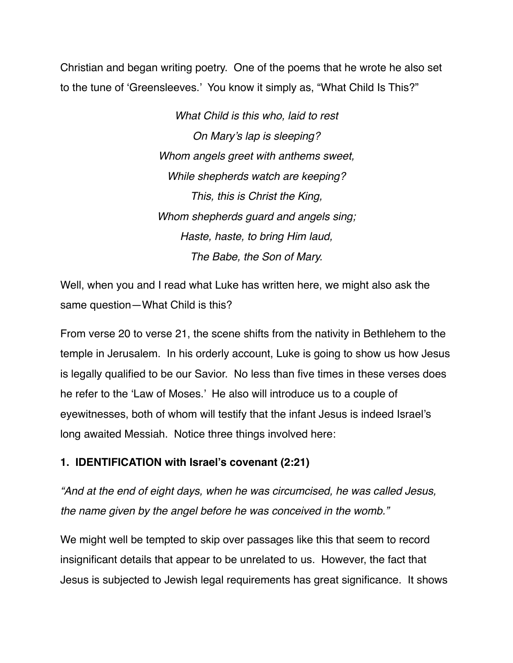Christian and began writing poetry. One of the poems that he wrote he also set to the tune of 'Greensleeves.' You know it simply as, "What Child Is This?"

> *What Child is this who, laid to rest On Mary's lap is sleeping? Whom angels greet with anthems sweet, While shepherds watch are keeping? This, this is Christ the King, Whom shepherds guard and angels sing; Haste, haste, to bring Him laud, The Babe, the Son of Mary.*

Well, when you and I read what Luke has written here, we might also ask the same question—What Child is this?

From verse 20 to verse 21, the scene shifts from the nativity in Bethlehem to the temple in Jerusalem. In his orderly account, Luke is going to show us how Jesus is legally qualified to be our Savior. No less than five times in these verses does he refer to the 'Law of Moses.' He also will introduce us to a couple of eyewitnesses, both of whom will testify that the infant Jesus is indeed Israel's long awaited Messiah. Notice three things involved here:

### **1. IDENTIFICATION with Israel's covenant (2:21)**

*"And at the end of eight days, when he was circumcised, he was called Jesus, the name given by the angel before he was conceived in the womb."*

We might well be tempted to skip over passages like this that seem to record insignificant details that appear to be unrelated to us. However, the fact that Jesus is subjected to Jewish legal requirements has great significance. It shows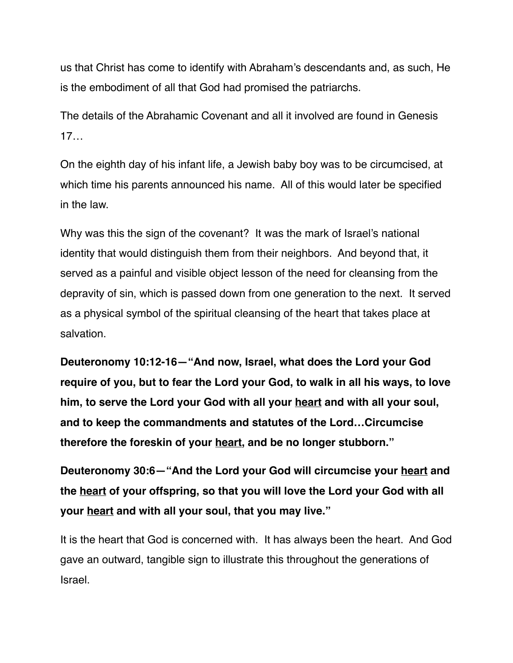us that Christ has come to identify with Abraham's descendants and, as such, He is the embodiment of all that God had promised the patriarchs.

The details of the Abrahamic Covenant and all it involved are found in Genesis 17…

On the eighth day of his infant life, a Jewish baby boy was to be circumcised, at which time his parents announced his name. All of this would later be specified in the law.

Why was this the sign of the covenant? It was the mark of Israel's national identity that would distinguish them from their neighbors. And beyond that, it served as a painful and visible object lesson of the need for cleansing from the depravity of sin, which is passed down from one generation to the next. It served as a physical symbol of the spiritual cleansing of the heart that takes place at salvation.

**Deuteronomy 10:12-16—"And now, Israel, what does the Lord your God require of you, but to fear the Lord your God, to walk in all his ways, to love him, to serve the Lord your God with all your heart and with all your soul, and to keep the commandments and statutes of the Lord…Circumcise therefore the foreskin of your heart, and be no longer stubborn."**

**Deuteronomy 30:6—"And the Lord your God will circumcise your heart and the heart of your offspring, so that you will love the Lord your God with all your heart and with all your soul, that you may live."**

It is the heart that God is concerned with. It has always been the heart. And God gave an outward, tangible sign to illustrate this throughout the generations of Israel.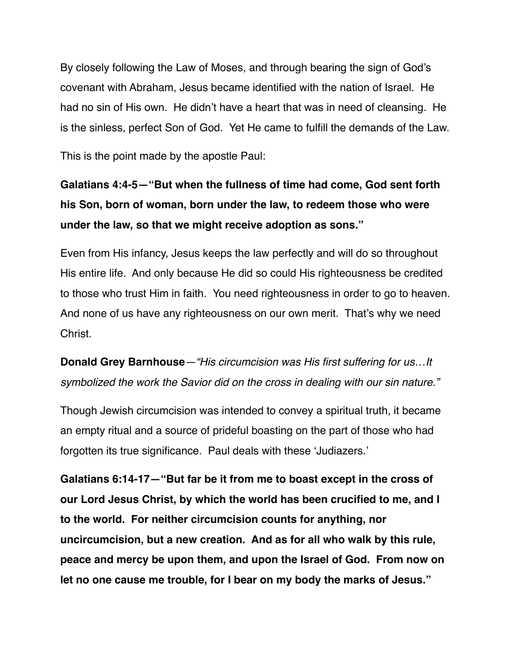By closely following the Law of Moses, and through bearing the sign of God's covenant with Abraham, Jesus became identified with the nation of Israel. He had no sin of His own. He didn't have a heart that was in need of cleansing. He is the sinless, perfect Son of God. Yet He came to fulfill the demands of the Law.

This is the point made by the apostle Paul:

# **Galatians 4:4-5—"But when the fullness of time had come, God sent forth his Son, born of woman, born under the law, to redeem those who were under the law, so that we might receive adoption as sons."**

Even from His infancy, Jesus keeps the law perfectly and will do so throughout His entire life. And only because He did so could His righteousness be credited to those who trust Him in faith. You need righteousness in order to go to heaven. And none of us have any righteousness on our own merit. That's why we need Christ.

**Donald Grey Barnhouse***—"His circumcision was His first suffering for us…It symbolized the work the Savior did on the cross in dealing with our sin nature."* 

Though Jewish circumcision was intended to convey a spiritual truth, it became an empty ritual and a source of prideful boasting on the part of those who had forgotten its true significance. Paul deals with these 'Judiazers.'

**Galatians 6:14-17—"But far be it from me to boast except in the cross of our Lord Jesus Christ, by which the world has been crucified to me, and I to the world. For neither circumcision counts for anything, nor uncircumcision, but a new creation. And as for all who walk by this rule, peace and mercy be upon them, and upon the Israel of God. From now on let no one cause me trouble, for I bear on my body the marks of Jesus."**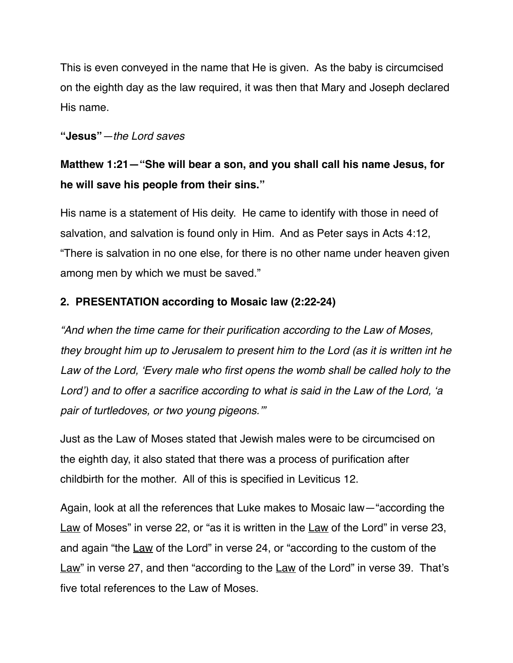This is even conveyed in the name that He is given. As the baby is circumcised on the eighth day as the law required, it was then that Mary and Joseph declared His name.

### **"Jesus"***—the Lord saves*

## **Matthew 1:21—"She will bear a son, and you shall call his name Jesus, for he will save his people from their sins."**

His name is a statement of His deity. He came to identify with those in need of salvation, and salvation is found only in Him. And as Peter says in Acts 4:12, "There is salvation in no one else, for there is no other name under heaven given among men by which we must be saved."

### **2. PRESENTATION according to Mosaic law (2:22-24)**

*"And when the time came for their purification according to the Law of Moses, they brought him up to Jerusalem to present him to the Lord (as it is written int he Law of the Lord, 'Every male who first opens the womb shall be called holy to the Lord') and to offer a sacrifice according to what is said in the Law of the Lord, 'a pair of turtledoves, or two young pigeons.'"*

Just as the Law of Moses stated that Jewish males were to be circumcised on the eighth day, it also stated that there was a process of purification after childbirth for the mother. All of this is specified in Leviticus 12.

Again, look at all the references that Luke makes to Mosaic law—"according the Law of Moses" in verse 22, or "as it is written in the Law of the Lord" in verse 23, and again "the Law of the Lord" in verse 24, or "according to the custom of the Law" in verse 27, and then "according to the Law of the Lord" in verse 39. That's five total references to the Law of Moses.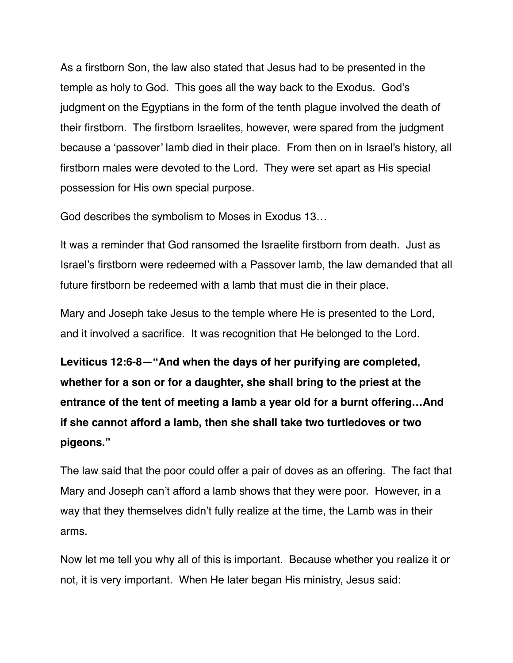As a firstborn Son, the law also stated that Jesus had to be presented in the temple as holy to God. This goes all the way back to the Exodus. God's judgment on the Egyptians in the form of the tenth plague involved the death of their firstborn. The firstborn Israelites, however, were spared from the judgment because a 'passover' lamb died in their place. From then on in Israel's history, all firstborn males were devoted to the Lord. They were set apart as His special possession for His own special purpose.

God describes the symbolism to Moses in Exodus 13…

It was a reminder that God ransomed the Israelite firstborn from death. Just as Israel's firstborn were redeemed with a Passover lamb, the law demanded that all future firstborn be redeemed with a lamb that must die in their place.

Mary and Joseph take Jesus to the temple where He is presented to the Lord, and it involved a sacrifice. It was recognition that He belonged to the Lord.

**Leviticus 12:6-8—"And when the days of her purifying are completed, whether for a son or for a daughter, she shall bring to the priest at the entrance of the tent of meeting a lamb a year old for a burnt offering…And if she cannot afford a lamb, then she shall take two turtledoves or two pigeons."**

The law said that the poor could offer a pair of doves as an offering. The fact that Mary and Joseph can't afford a lamb shows that they were poor. However, in a way that they themselves didn't fully realize at the time, the Lamb was in their arms.

Now let me tell you why all of this is important. Because whether you realize it or not, it is very important. When He later began His ministry, Jesus said: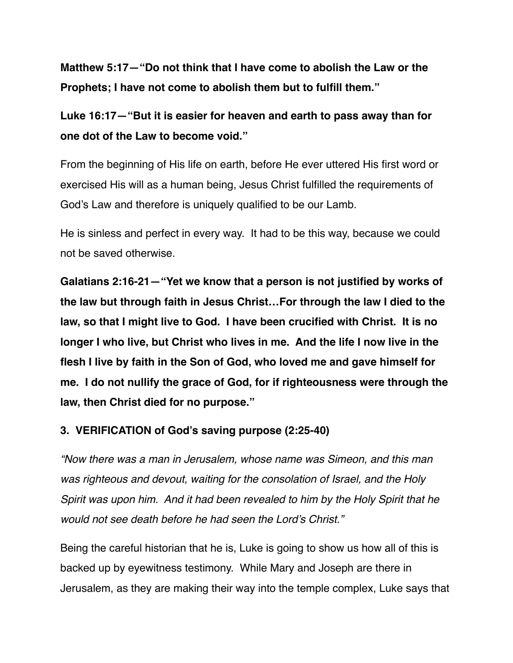**Matthew 5:17—"Do not think that I have come to abolish the Law or the Prophets; I have not come to abolish them but to fulfill them."**

**Luke 16:17—"But it is easier for heaven and earth to pass away than for one dot of the Law to become void."**

From the beginning of His life on earth, before He ever uttered His first word or exercised His will as a human being, Jesus Christ fulfilled the requirements of God's Law and therefore is uniquely qualified to be our Lamb.

He is sinless and perfect in every way. It had to be this way, because we could not be saved otherwise.

**Galatians 2:16-21—"Yet we know that a person is not justified by works of the law but through faith in Jesus Christ…For through the law I died to the law, so that I might live to God. I have been crucified with Christ. It is no longer I who live, but Christ who lives in me. And the life I now live in the flesh I live by faith in the Son of God, who loved me and gave himself for me. I do not nullify the grace of God, for if righteousness were through the law, then Christ died for no purpose."**

### **3. VERIFICATION of God's saving purpose (2:25-40)**

*"Now there was a man in Jerusalem, whose name was Simeon, and this man was righteous and devout, waiting for the consolation of Israel, and the Holy Spirit was upon him. And it had been revealed to him by the Holy Spirit that he would not see death before he had seen the Lord's Christ."*

Being the careful historian that he is, Luke is going to show us how all of this is backed up by eyewitness testimony. While Mary and Joseph are there in Jerusalem, as they are making their way into the temple complex, Luke says that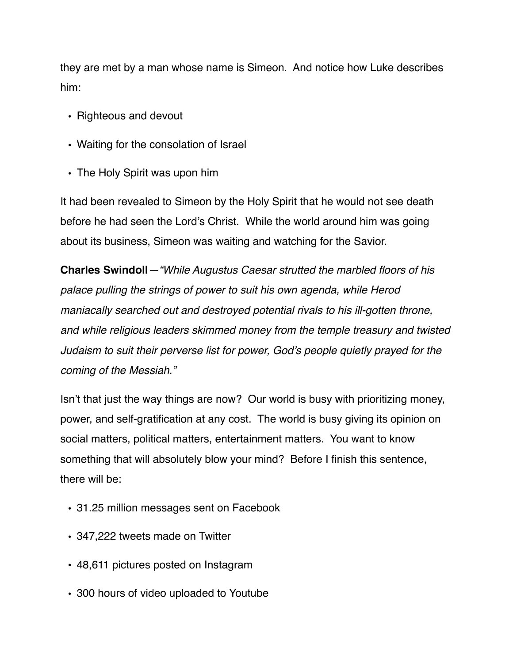they are met by a man whose name is Simeon. And notice how Luke describes him:

- Righteous and devout
- Waiting for the consolation of Israel
- The Holy Spirit was upon him

It had been revealed to Simeon by the Holy Spirit that he would not see death before he had seen the Lord's Christ. While the world around him was going about its business, Simeon was waiting and watching for the Savior.

**Charles Swindoll***—"While Augustus Caesar strutted the marbled floors of his palace pulling the strings of power to suit his own agenda, while Herod maniacally searched out and destroyed potential rivals to his ill-gotten throne, and while religious leaders skimmed money from the temple treasury and twisted Judaism to suit their perverse list for power, God's people quietly prayed for the coming of the Messiah."*

Isn't that just the way things are now? Our world is busy with prioritizing money, power, and self-gratification at any cost. The world is busy giving its opinion on social matters, political matters, entertainment matters. You want to know something that will absolutely blow your mind? Before I finish this sentence, there will be:

- **•** 31.25 million messages sent on Facebook
- **•** 347,222 tweets made on Twitter
- **•** 48,611 pictures posted on Instagram
- **•** 300 hours of video uploaded to Youtube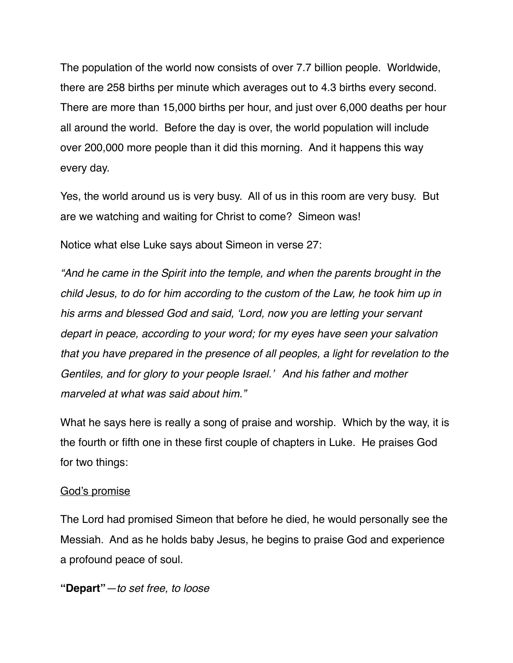The population of the world now consists of over 7.7 billion people. Worldwide, there are 258 births per minute which averages out to 4.3 births every second. There are more than 15,000 births per hour, and just over 6,000 deaths per hour all around the world. Before the day is over, the world population will include over 200,000 more people than it did this morning. And it happens this way every day.

Yes, the world around us is very busy. All of us in this room are very busy. But are we watching and waiting for Christ to come? Simeon was!

Notice what else Luke says about Simeon in verse 27:

*"And he came in the Spirit into the temple, and when the parents brought in the child Jesus, to do for him according to the custom of the Law, he took him up in his arms and blessed God and said, 'Lord, now you are letting your servant depart in peace, according to your word; for my eyes have seen your salvation that you have prepared in the presence of all peoples, a light for revelation to the Gentiles, and for glory to your people Israel.' And his father and mother marveled at what was said about him."*

What he says here is really a song of praise and worship. Which by the way, it is the fourth or fifth one in these first couple of chapters in Luke. He praises God for two things:

#### God's promise

The Lord had promised Simeon that before he died, he would personally see the Messiah. And as he holds baby Jesus, he begins to praise God and experience a profound peace of soul.

**"Depart"***—to set free, to loose*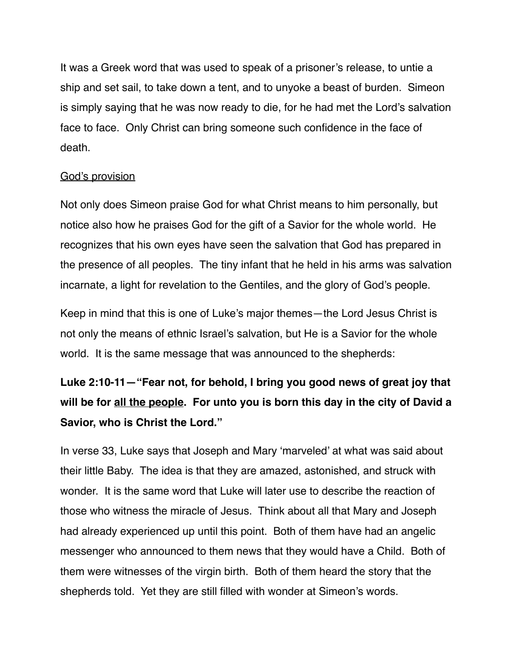It was a Greek word that was used to speak of a prisoner's release, to untie a ship and set sail, to take down a tent, and to unyoke a beast of burden. Simeon is simply saying that he was now ready to die, for he had met the Lord's salvation face to face. Only Christ can bring someone such confidence in the face of death.

#### God's provision

Not only does Simeon praise God for what Christ means to him personally, but notice also how he praises God for the gift of a Savior for the whole world. He recognizes that his own eyes have seen the salvation that God has prepared in the presence of all peoples. The tiny infant that he held in his arms was salvation incarnate, a light for revelation to the Gentiles, and the glory of God's people.

Keep in mind that this is one of Luke's major themes—the Lord Jesus Christ is not only the means of ethnic Israel's salvation, but He is a Savior for the whole world. It is the same message that was announced to the shepherds:

# **Luke 2:10-11—"Fear not, for behold, I bring you good news of great joy that will be for all the people. For unto you is born this day in the city of David a Savior, who is Christ the Lord."**

In verse 33, Luke says that Joseph and Mary 'marveled' at what was said about their little Baby. The idea is that they are amazed, astonished, and struck with wonder. It is the same word that Luke will later use to describe the reaction of those who witness the miracle of Jesus. Think about all that Mary and Joseph had already experienced up until this point. Both of them have had an angelic messenger who announced to them news that they would have a Child. Both of them were witnesses of the virgin birth. Both of them heard the story that the shepherds told. Yet they are still filled with wonder at Simeon's words.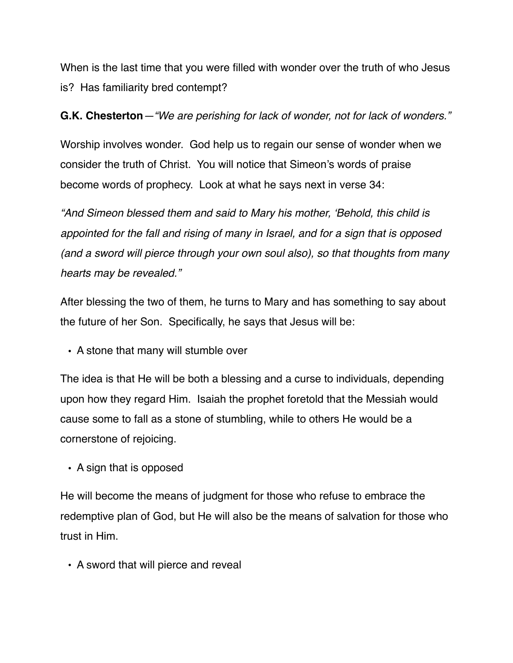When is the last time that you were filled with wonder over the truth of who Jesus is? Has familiarity bred contempt?

## **G.K. Chesterton***—"We are perishing for lack of wonder, not for lack of wonders."*

Worship involves wonder. God help us to regain our sense of wonder when we consider the truth of Christ. You will notice that Simeon's words of praise become words of prophecy. Look at what he says next in verse 34:

*"And Simeon blessed them and said to Mary his mother, 'Behold, this child is appointed for the fall and rising of many in Israel, and for a sign that is opposed (and a sword will pierce through your own soul also), so that thoughts from many hearts may be revealed."*

After blessing the two of them, he turns to Mary and has something to say about the future of her Son. Specifically, he says that Jesus will be:

• A stone that many will stumble over

The idea is that He will be both a blessing and a curse to individuals, depending upon how they regard Him. Isaiah the prophet foretold that the Messiah would cause some to fall as a stone of stumbling, while to others He would be a cornerstone of rejoicing.

• A sign that is opposed

He will become the means of judgment for those who refuse to embrace the redemptive plan of God, but He will also be the means of salvation for those who trust in Him.

• A sword that will pierce and reveal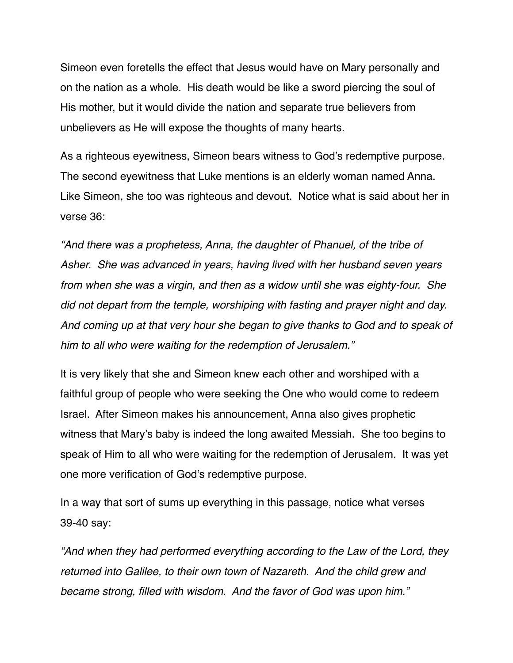Simeon even foretells the effect that Jesus would have on Mary personally and on the nation as a whole. His death would be like a sword piercing the soul of His mother, but it would divide the nation and separate true believers from unbelievers as He will expose the thoughts of many hearts.

As a righteous eyewitness, Simeon bears witness to God's redemptive purpose. The second eyewitness that Luke mentions is an elderly woman named Anna. Like Simeon, she too was righteous and devout. Notice what is said about her in verse 36:

*"And there was a prophetess, Anna, the daughter of Phanuel, of the tribe of Asher. She was advanced in years, having lived with her husband seven years from when she was a virgin, and then as a widow until she was eighty-four. She did not depart from the temple, worshiping with fasting and prayer night and day. And coming up at that very hour she began to give thanks to God and to speak of him to all who were waiting for the redemption of Jerusalem."*

It is very likely that she and Simeon knew each other and worshiped with a faithful group of people who were seeking the One who would come to redeem Israel. After Simeon makes his announcement, Anna also gives prophetic witness that Mary's baby is indeed the long awaited Messiah. She too begins to speak of Him to all who were waiting for the redemption of Jerusalem. It was yet one more verification of God's redemptive purpose.

In a way that sort of sums up everything in this passage, notice what verses 39-40 say:

*"And when they had performed everything according to the Law of the Lord, they returned into Galilee, to their own town of Nazareth. And the child grew and became strong, filled with wisdom. And the favor of God was upon him."*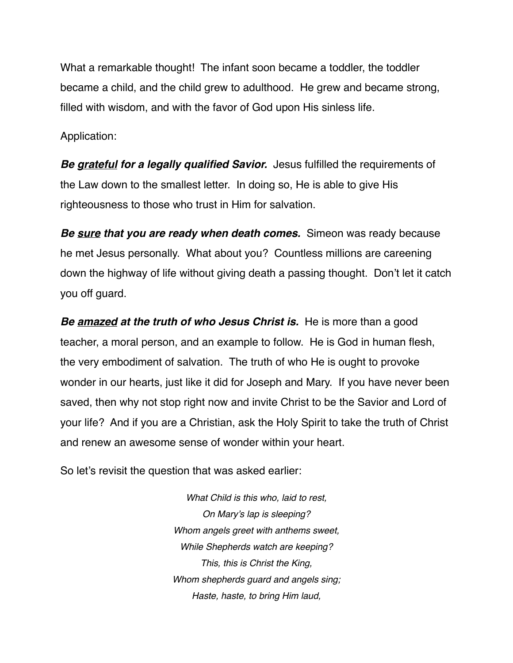What a remarkable thought! The infant soon became a toddler, the toddler became a child, and the child grew to adulthood. He grew and became strong, filled with wisdom, and with the favor of God upon His sinless life.

Application:

*Be grateful for a legally qualified Savior.* Jesus fulfilled the requirements of the Law down to the smallest letter. In doing so, He is able to give His righteousness to those who trust in Him for salvation.

*Be sure that you are ready when death comes.* Simeon was ready because he met Jesus personally. What about you? Countless millions are careening down the highway of life without giving death a passing thought. Don't let it catch you off guard.

*Be amazed at the truth of who Jesus Christ is.* He is more than a good teacher, a moral person, and an example to follow. He is God in human flesh, the very embodiment of salvation. The truth of who He is ought to provoke wonder in our hearts, just like it did for Joseph and Mary. If you have never been saved, then why not stop right now and invite Christ to be the Savior and Lord of your life? And if you are a Christian, ask the Holy Spirit to take the truth of Christ and renew an awesome sense of wonder within your heart.

So let's revisit the question that was asked earlier:

*What Child is this who, laid to rest, On Mary's lap is sleeping? Whom angels greet with anthems sweet, While Shepherds watch are keeping? This, this is Christ the King, Whom shepherds guard and angels sing; Haste, haste, to bring Him laud,*